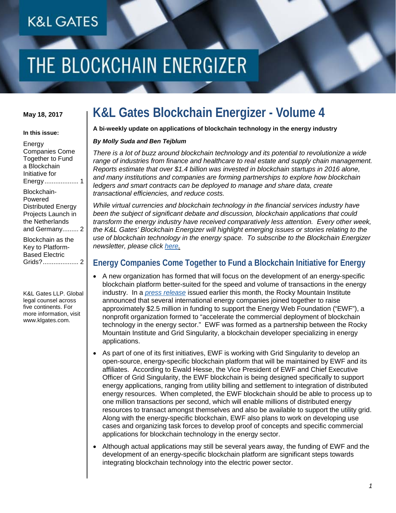### **K&L GATES**

# THE BLOCKCHAIN ENERGIZER

### **May 18, 2017**

#### **In this issue:**

| Energy                  |
|-------------------------|
| <b>Companies Come</b>   |
| <b>Together to Fund</b> |
| a Blockchain            |
| Initiative for          |
| Energy  1               |
| Blockchain-             |
| Powered                 |
| Distributed Energy      |
| Projects Launch in      |
| the Netherlands         |
| and Germany 2           |
| Blockchain as the       |
| Key to Platform-        |

K&L Gates LLP. Global legal counsel across five continents. For more information, visit www.klgates.com.

[Based Electric](#page-1-1)  [Grids?....................](#page-1-1) 2

### **K&L Gates Blockchain Energizer - Volume 4**

**A bi-weekly update on applications of blockchain technology in the energy industry**

### *By Molly Suda and Ben Tejblum*

*There is a lot of buzz around blockchain technology and its potential to revolutionize a wide range of industries from finance and healthcare to real estate and supply chain management. Reports estimate that over \$1.4 billion was invested in blockchain startups in 2016 alone, and many institutions and companies are forming partnerships to explore how blockchain ledgers and smart contracts can be deployed to manage and share data, create transactional efficiencies, and reduce costs.*

*While virtual currencies and blockchain technology in the financial services industry have been the subject of significant debate and discussion, blockchain applications that could transform the energy industry have received comparatively less attention. Every other week, the K&L Gates' Blockchain Energizer will highlight emerging issues or stories relating to the use of blockchain technology in the energy space. To subscribe to the Blockchain Energizer newsletter, please click [here.](mailto:lauren.jacobs@klgates.com)*

### <span id="page-0-0"></span>**Energy Companies Come Together to Fund a Blockchain Initiative for Energy**

- A new organization has formed that will focus on the development of an energy-specific blockchain platform better-suited for the speed and volume of transactions in the energy industry. In a *[press release](https://rmi.org/about/news-and-press/press-release-energy-web-foundation-launch/)* issued earlier this month, the Rocky Mountain Institute announced that several international energy companies joined together to raise approximately \$2.5 million in funding to support the Energy Web Foundation ("EWF"), a nonprofit organization formed to "accelerate the commercial deployment of blockchain technology in the energy sector." EWF was formed as a partnership between the Rocky Mountain Institute and Grid Singularity, a blockchain developer specializing in energy applications.
- As part of one of its first initiatives, EWF is working with Grid Singularity to develop an open-source, energy-specific blockchain platform that will be maintained by EWF and its affiliates. According to Ewald Hesse, the Vice President of EWF and Chief Executive Officer of Grid Singularity, the EWF blockchain is being designed specifically to support energy applications, ranging from utility billing and settlement to integration of distributed energy resources. When completed, the EWF blockchain should be able to process up to one million transactions per second, which will enable millions of distributed energy resources to transact amongst themselves and also be available to support the utility grid. Along with the energy-specific blockchain, EWF also plans to work on developing use cases and organizing task forces to develop proof of concepts and specific commercial applications for blockchain technology in the energy sector.
- Although actual applications may still be several years away, the funding of EWF and the development of an energy-specific blockchain platform are significant steps towards integrating blockchain technology into the electric power sector.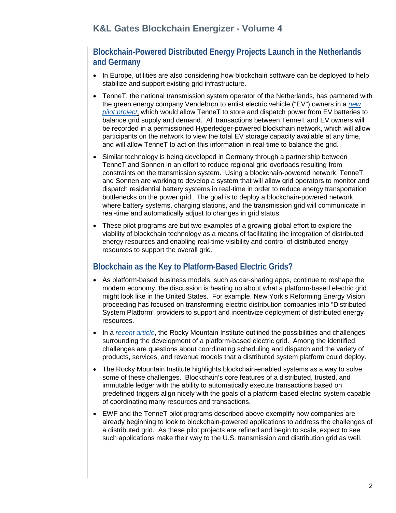<span id="page-1-0"></span>**Blockchain-Powered Distributed Energy Projects Launch in the Netherlands and Germany** 

- In Europe, utilities are also considering how blockchain software can be deployed to help stabilize and support existing grid infrastructure.
- TenneT, the national transmission system operator of the Netherlands, has partnered with the green energy company Vendebron to enlist electric vehicle ("EV") owners in a *[new](http://microgridmedia.com/tennet-ibm-launch-pilot-distributed-energy-blockchain-projects-germany-netherlands/)  [pilot project](http://microgridmedia.com/tennet-ibm-launch-pilot-distributed-energy-blockchain-projects-germany-netherlands/)*, which would allow TenneT to store and dispatch power from EV batteries to balance grid supply and demand. All transactions between TenneT and EV owners will be recorded in a permissioned Hyperledger-powered blockchain network, which will allow participants on the network to view the total EV storage capacity available at any time, and will allow TenneT to act on this information in real-time to balance the grid.
- Similar technology is being developed in Germany through a partnership between TenneT and Sonnen in an effort to reduce regional grid overloads resulting from constraints on the transmission system. Using a blockchain-powered network, TenneT and Sonnen are working to develop a system that will allow grid operators to monitor and dispatch residential battery systems in real-time in order to reduce energy transportation bottlenecks on the power grid. The goal is to deploy a blockchain-powered network where battery systems, charging stations, and the transmission grid will communicate in real-time and automatically adjust to changes in grid status.
- These pilot programs are but two examples of a growing global effort to explore the viability of blockchain technology as a means of facilitating the integration of distributed energy resources and enabling real-time visibility and control of distributed energy resources to support the overall grid.

### <span id="page-1-1"></span>**Blockchain as the Key to Platform-Based Electric Grids?**

- As platform-based business models, such as car-sharing apps, continue to reshape the modern economy, the discussion is heating up about what a platform-based electric grid might look like in the United States. For example, New York's Reforming Energy Vision proceeding has focused on transforming electric distribution companies into "Distributed System Platform" providers to support and incentivize deployment of distributed energy resources.
- In a *[recent article](https://www.greentechmedia.com/articles/read/the-promise-of-platform-based-grids)*, the Rocky Mountain Institute outlined the possibilities and challenges surrounding the development of a platform-based electric grid. Among the identified challenges are questions about coordinating scheduling and dispatch and the variety of products, services, and revenue models that a distributed system platform could deploy.
- The Rocky Mountain Institute highlights blockchain-enabled systems as a way to solve some of these challenges. Blockchain's core features of a distributed, trusted, and immutable ledger with the ability to automatically execute transactions based on predefined triggers align nicely with the goals of a platform-based electric system capable of coordinating many resources and transactions.
- EWF and the TenneT pilot programs described above exemplify how companies are already beginning to look to blockchain-powered applications to address the challenges of a distributed grid. As these pilot projects are refined and begin to scale, expect to see such applications make their way to the U.S. transmission and distribution grid as well.